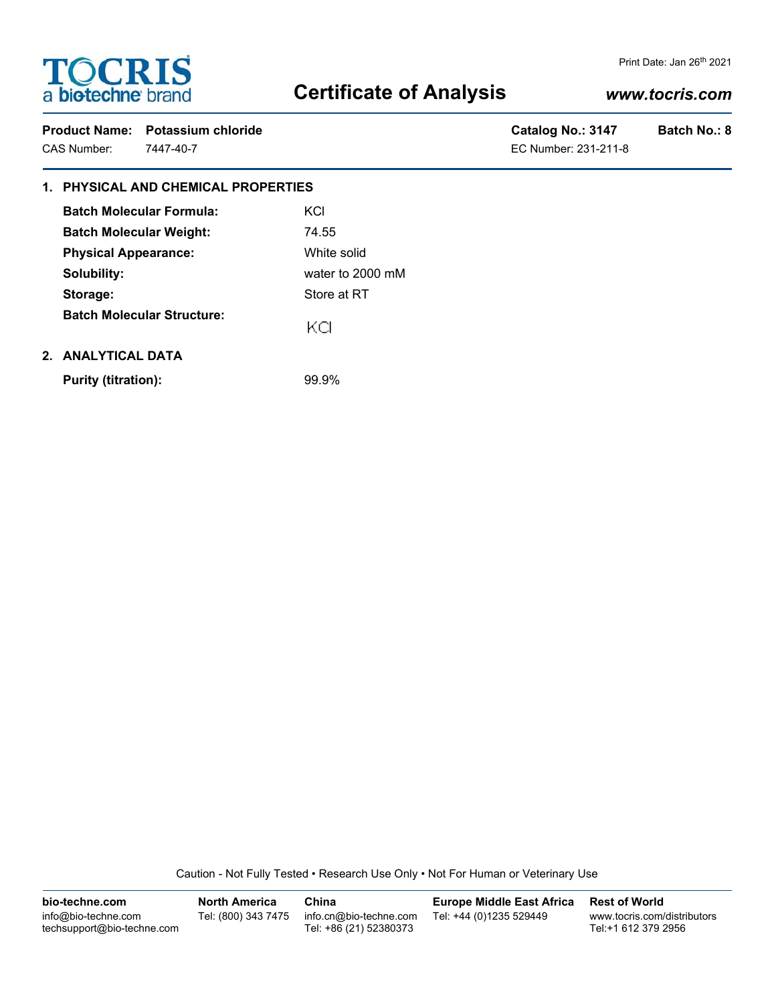# **TOCRIS**<br>a biotechne brand

# **Certificate of Analysis**

### Print Date: Jan 26th 2021

## *www.tocris.com*

|             | Product Name: Potassium chloride | Catalog No.: 3147    | <b>Batch No.: 8</b> |
|-------------|----------------------------------|----------------------|---------------------|
| CAS Number: | 7447-40-7                        | EC Number: 231-211-8 |                     |

| Catalog No.: 3147    | <b>Batch</b> |
|----------------------|--------------|
| EC Number: 231-211-8 |              |

## **1. PHYSICAL AND CHEMICAL PROPERTIES**

| <b>Batch Molecular Formula:</b>   | KCI              |  |
|-----------------------------------|------------------|--|
| <b>Batch Molecular Weight:</b>    | 74.55            |  |
| <b>Physical Appearance:</b>       | White solid      |  |
| Solubility:                       | water to 2000 mM |  |
| Storage:                          | Store at RT      |  |
| <b>Batch Molecular Structure:</b> | ĸа               |  |
|                                   |                  |  |

## **2. ANALYTICAL DATA**

**Purity (titration):** 99.9%

Caution - Not Fully Tested • Research Use Only • Not For Human or Veterinary Use

| bio-techne.com                                    | <b>North America</b> | China                                            | <b>Europe Middle East Africa</b> | <b>Rest of World</b>                               |
|---------------------------------------------------|----------------------|--------------------------------------------------|----------------------------------|----------------------------------------------------|
| info@bio-techne.com<br>techsupport@bio-techne.com | Tel: (800) 343 7475  | info.cn@bio-techne.com<br>Tel: +86 (21) 52380373 | Tel: +44 (0)1235 529449          | www.tocris.com/distributors<br>Tel:+1 612 379 2956 |